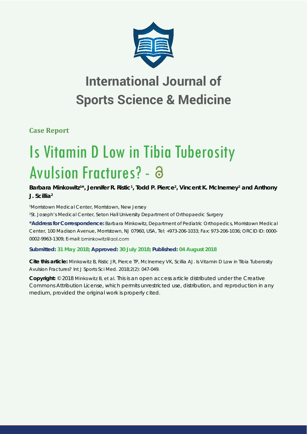

# **International Journal of Sports Science & Medicine**

**Case Report**

# Is Vitamin D Low in Tibia Tuberosity Avulsion Fractures? - 8

Barbara Minkowitz<sup>1\*</sup>, Jennifer R. Ristic<sup>1</sup>, Todd P. Pierce<sup>2</sup>, Vincent K. McInerney<sup>2</sup> and Anthony **J. Scillia2**

*1 Morristown Medical Center, Morristown, New Jersey 2 St. Joseph's Medical Center, Seton Hall University Department of Orthopaedic Surgery*

**\*Address for Correspondence:** Barbara Minkowitz, Department of Pediatric Orthopedics, Morristown Medical Center, 100 Madison Avenue, Morristown, NJ 07960, USA, Tel: +973-206-1033; Fax: 973-206-1036; ORCID ID: 0000- 0002-9963-1309; E-mail:

**Submitted: 31 May 2018; Approved: 30 July 2018; Published: 04 August 2018**

**Cite this article:** Minkowitz B, Ristic JR, Pierce TP, McInerney VK, Scillia AJ. Is Vitamin D Low in Tibia Tuberosity Avulsion Fractures? Int J Sports Sci Med. 2018;2(2): 047-049.

**Copyright:** © 2018 Minkowitz B, et al. This is an open access article distributed under the Creative Commons Attribution License, which permits unrestricted use, distribution, and reproduction in any medium, provided the original work is properly cited.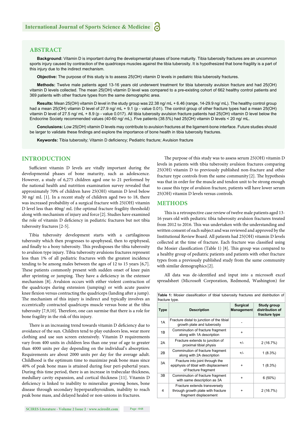# **ABSTRACT**

**Background:** Vitamin D is important during the developmental phases of bone maturity. Tibia tuberosity fractures are an uncommon sports injury caused by contraction of the quadriceps muscles against the tibia tuberosity. It is hypothesized that bone fragility is a part of this injury due to the indirect mechanism.

**Objective:** The purpose of this study is to assess 25(OH) vitamin D levels in pediatric tibia tuberosity fractures.

**Methods:** Twelve male patients aged 13-16 years old underwent treatment for tibia tuberosity avulsion fracture and had 25(OH) vitamin D levels collected. The mean 25(OH) vitamin D level was compared to a pre-existing cohort of 662 healthy control patients and 369 patients with other fracture types from the same demographic area.

**Results:** Mean 25(OH) vitamin D level in the study group was 22.38 ng/ mL + 6.46 (range, 14-29.9 ng/ mL). The healthy control group had a mean 25(OH) vitamin D level of 27.9 ng/ mL + 9.1 (p - value 0.01). The control group of other fracture types had a mean 25(OH) vitamin D level of 27.5 ng/ mL + 8.9 (p - value 0.017). All tibia tuberosity avulsion fracture patients had 25(OH) vitamin D level below the Endocrine Society recommended values (40-60 ng/ mL). Five patients (38.5%) had 25(OH) vitamin D levels < 20 ng/ mL.

**Conclusions:** Low 25(OH) vitamin D levels may contribute to avulsion fractures at the ligament-bone interface. Future studies should be larger to validate these findings and explore the importance of bone health in tibia tuberosity fractures.

Keywords: Tibia tuberosity; Vitamin D deficiency; Pediatric fracture; Avulsion fracture

# **INTRODUCTION**

Sufficient vitamin D levels are vitally important during the developmental phases of bone maturity, such as adolescence. However, a study of 6,275 children aged one to 21 performed by the national health and nutrition examination survey revealed that approximately 70% of children have 25(OH) vitamin D level below 30 ng/ mL [1]. In a recent study of children aged two to 18, there was increased probability of a surgical fracture with 25(OH) vitamin D level less than 40ng/ mL (the optimal fracture fragility threshold) along with mechanism of injury and force [2]. Studies have examined the role of vitamin D deficiency in pediatric fractures but not tibia tuberosity fractures [2-5].

Tibia tuberosity development starts with a cartilaginous tuberosity which then progresses to apophyseal, then to epiphyseal, and finally to a bony tuberosity. This predisposes the tibia tuberosity to avulsion type injury. Tibia tuberosity avulsions fractures represent less than 1% of all pediatric fractures with the greatest incidence tending to be among males between the ages of 12 to 15 years [6,7]. These patients commonly present with sudden onset of knee pain after sprinting or jumping. They have a deficiency in the extensor mechanism [8]. Avulsion occurs with either violent contraction of the quadriceps during extension (jumping) or with acute passive knee flexion versus contracting the quadriceps (landing after a jump). The mechanism of this injury is indirect and typically involves an eccentrically contracted quadriceps muscle versus bone at the tibia tuberosity [7,9,10]. Therefore, one can surmise that there is a role for bone fragility in the risk of this injury.

There is an increasing trend towards vitamin D deficiency due to avoidance of the sun. Children tend to play outdoors less, wear more clothing and use sun screen extensively. Vitamin D requirements vary from 400 units in children less than one year of age to greater than 4000 units per day depending on the individual's absorption. Requirements are about 2000 units per day for the average adult. Childhood is the optimum time to maximize peak bone mass since 40% of peak bone mass is attained during four peri-pubertal years. During this time period, there is an increase in trabecular thickness, medullary cavity expansion, and cortical thickness [11]. Vitamin D deficiency is linked to inability to mineralize growing bones, bone disease through secondary hyperparathyroidism, inability to reach peak bone mass, and delayed healed or non-unions in fractures.

**SCIRES Literature - Volume 2 Issue 2 - www.scireslit.com Page -048**

The purpose of this study was to assess serum 25(OH) vitamin D levels in patients with tibia tuberosity avulsion fractures comparing 25(OH) vitamin D to previously published non-fracture and other fracture type controls from the same community  $[2]$ . The hypothesis was that in order for the muscle and tendon unit to be strong enough to cause this type of avulsion fracture, patients will have lower serum 25(OH) vitamin D levels versus controls.

#### **METHODS**

This is a retrospective case review of twelve male patients aged 13-16 years old with pediatric tibia tuberosity avulsion fractures treated from 2012 to 2016. This was undertaken with the understanding and written consent of each subject and was reviewed and approved by the Institutional Review Board. All patients had 25(OH) vitamin D levels collected at the time of fracture. Each fracture was classified using the Mosier classification (Table 1) [8]. This group was compared to a healthy group of pediatric patients and patients with other fracture types from a previously published study from the same community with similar demographics [2].

All data was de-identified and input into a microsoft excel spreadsheet (Microsoft Corporation, Redmond, Washington) for

| $n$ acture type. |                                                                                                  |                                      |                                                 |  |  |  |  |
|------------------|--------------------------------------------------------------------------------------------------|--------------------------------------|-------------------------------------------------|--|--|--|--|
| <b>Type</b>      | <b>Description</b>                                                                               | <b>Surgical</b><br><b>Management</b> | Study group<br>distribution of<br>fracture type |  |  |  |  |
| 1A               | Fracture distal to junction of the tibial<br>growth plate and tuberosity                         |                                      |                                                 |  |  |  |  |
| 1B               | Comminution of fracture fragment<br>along with 1A description                                    | $\ddot{}$                            |                                                 |  |  |  |  |
| 2A               | Fracture extends to junction of<br>proximal tibial physis                                        | $+/-$                                | 2(16.7%)                                        |  |  |  |  |
| 2B               | Comminution of fracture fragment<br>along with 2A description                                    | $+/-$                                | $1(8.3\%)$                                      |  |  |  |  |
| 3A               | Fracture into joint through the<br>epiphysis of tibial with displacement<br>of fracture fragment | $\ddot{}$                            | $1(8.3\%)$                                      |  |  |  |  |
| 3B               | Comminution of fracture fragment<br>with same description as 3A                                  | $\ddot{}$                            | $6(50\%)$                                       |  |  |  |  |
| 4                | Fracture extends transversely<br>through growth plate with fracture<br>fragment displacement     | $\ddot{}$                            | 2 (16.7%)                                       |  |  |  |  |

Table 1: Mosier classification of tibial tuberosity fractures and distribution of fracture type.